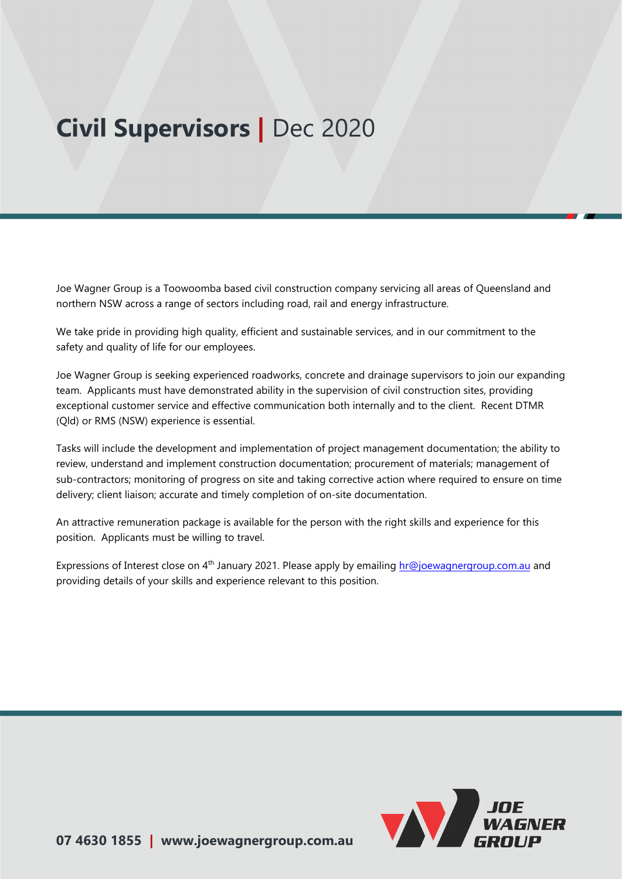# **Civil Supervisors |** Dec 2020

Joe Wagner Group is a Toowoomba based civil construction company servicing all areas of Queensland and northern NSW across a range of sectors including road, rail and energy infrastructure.

We take pride in providing high quality, efficient and sustainable services, and in our commitment to the safety and quality of life for our employees.

Joe Wagner Group is seeking experienced roadworks, concrete and drainage supervisors to join our expanding team. Applicants must have demonstrated ability in the supervision of civil construction sites, providing exceptional customer service and effective communication both internally and to the client. Recent DTMR (Qld) or RMS (NSW) experience is essential.

Tasks will include the development and implementation of project management documentation; the ability to review, understand and implement construction documentation; procurement of materials; management of sub-contractors; monitoring of progress on site and taking corrective action where required to ensure on time delivery; client liaison; accurate and timely completion of on-site documentation.

An attractive remuneration package is available for the person with the right skills and experience for this position. Applicants must be willing to travel.

Expressions of Interest close on 4<sup>th</sup> January 2021. Please apply by emailing [hr@joewagnerg](mailto:hr@joewagnergroup.com.au)roup.com.au and providing details of your skills and experience relevant to this position.

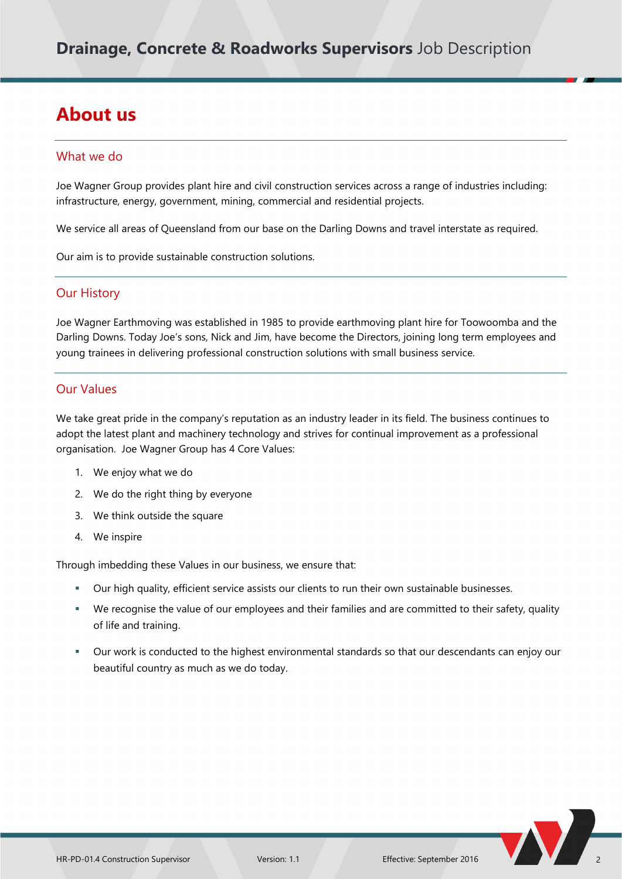## **About us**

#### What we do

Joe Wagner Group provides plant hire and civil construction services across a range of industries including: infrastructure, energy, government, mining, commercial and residential projects.

We service all areas of Queensland from our base on the Darling Downs and travel interstate as required.

Our aim is to provide sustainable construction solutions.

#### Our History

Joe Wagner Earthmoving was established in 1985 to provide earthmoving plant hire for Toowoomba and the Darling Downs. Today Joe's sons, Nick and Jim, have become the Directors, joining long term employees and young trainees in delivering professional construction solutions with small business service.

#### Our Values

We take great pride in the company's reputation as an industry leader in its field. The business continues to adopt the latest plant and machinery technology and strives for continual improvement as a professional organisation. Joe Wagner Group has 4 Core Values:

- 1. We enjoy what we do
- 2. We do the right thing by everyone
- 3. We think outside the square
- 4. We inspire

Through imbedding these Values in our business, we ensure that:

- Our high quality, efficient service assists our clients to run their own sustainable businesses.
- We recognise the value of our employees and their families and are committed to their safety, quality of life and training.
- Our work is conducted to the highest environmental standards so that our descendants can enjoy our beautiful country as much as we do today.

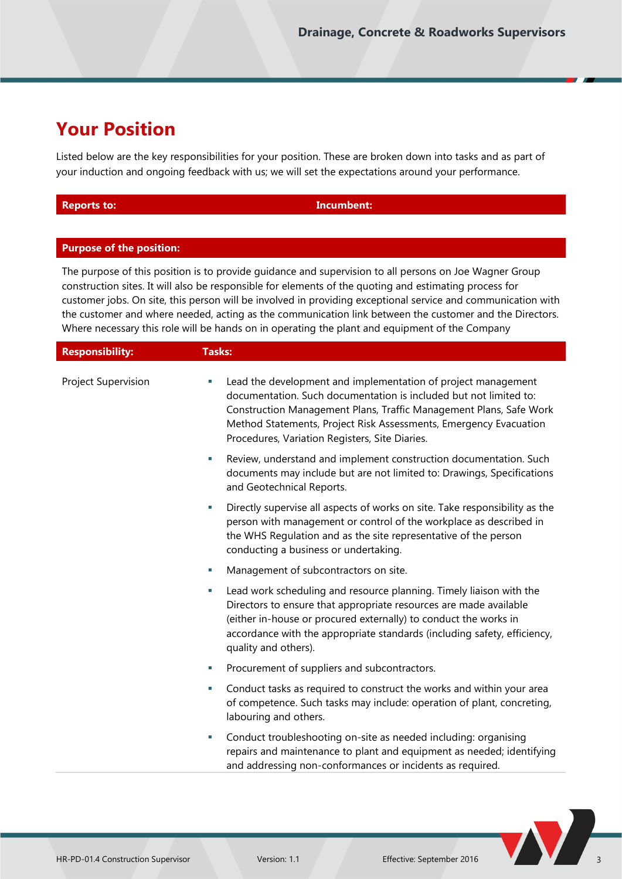## **Your Position**

Listed below are the key responsibilities for your position. These are broken down into tasks and as part of your induction and ongoing feedback with us; we will set the expectations around your performance.

| <b>Reports to:</b> |  |  |  |  |
|--------------------|--|--|--|--|
|                    |  |  |  |  |

**Incumbent:** 

#### **Purpose of the position:**

The purpose of this position is to provide guidance and supervision to all persons on Joe Wagner Group construction sites. It will also be responsible for elements of the quoting and estimating process for customer jobs. On site, this person will be involved in providing exceptional service and communication with the customer and where needed, acting as the communication link between the customer and the Directors. Where necessary this role will be hands on in operating the plant and equipment of the Company

| <b>Responsibility:</b> | <b>Tasks:</b>                                                                                                                                                                                                                                                                                                                         |
|------------------------|---------------------------------------------------------------------------------------------------------------------------------------------------------------------------------------------------------------------------------------------------------------------------------------------------------------------------------------|
| Project Supervision    | Lead the development and implementation of project management<br>×.<br>documentation. Such documentation is included but not limited to:<br>Construction Management Plans, Traffic Management Plans, Safe Work<br>Method Statements, Project Risk Assessments, Emergency Evacuation<br>Procedures, Variation Registers, Site Diaries. |
|                        | Review, understand and implement construction documentation. Such<br>×<br>documents may include but are not limited to: Drawings, Specifications<br>and Geotechnical Reports.                                                                                                                                                         |
|                        | Directly supervise all aspects of works on site. Take responsibility as the<br>u.<br>person with management or control of the workplace as described in<br>the WHS Regulation and as the site representative of the person<br>conducting a business or undertaking.                                                                   |
|                        | Management of subcontractors on site.<br>u,                                                                                                                                                                                                                                                                                           |
|                        | Lead work scheduling and resource planning. Timely liaison with the<br>×<br>Directors to ensure that appropriate resources are made available<br>(either in-house or procured externally) to conduct the works in<br>accordance with the appropriate standards (including safety, efficiency,<br>quality and others).                 |
|                        | Procurement of suppliers and subcontractors.<br>×.                                                                                                                                                                                                                                                                                    |
|                        | Conduct tasks as required to construct the works and within your area<br>×.<br>of competence. Such tasks may include: operation of plant, concreting,<br>labouring and others.                                                                                                                                                        |
|                        | Conduct troubleshooting on-site as needed including: organising<br>L,<br>repairs and maintenance to plant and equipment as needed; identifying<br>and addressing non-conformances or incidents as required.                                                                                                                           |
|                        |                                                                                                                                                                                                                                                                                                                                       |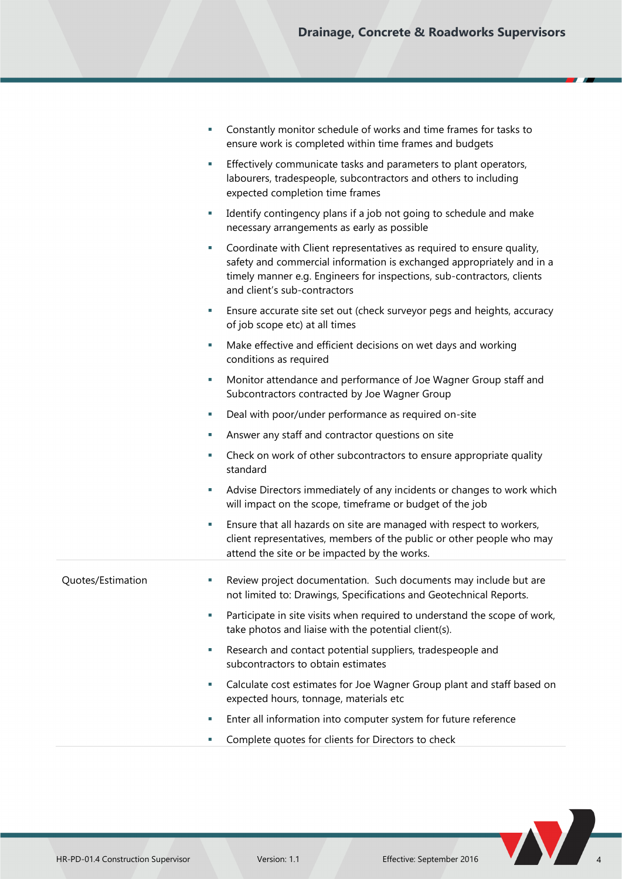| Constantly monitor schedule of works and time frames for tasks to |
|-------------------------------------------------------------------|
| ensure work is completed within time frames and budgets           |

- Effectively communicate tasks and parameters to plant operators, labourers, tradespeople, subcontractors and others to including expected completion time frames
- Identify contingency plans if a job not going to schedule and make necessary arrangements as early as possible
- Coordinate with Client representatives as required to ensure quality, safety and commercial information is exchanged appropriately and in a timely manner e.g. Engineers for inspections, sub-contractors, clients and client's sub-contractors
- Ensure accurate site set out (check surveyor pegs and heights, accuracy of job scope etc) at all times
- Make effective and efficient decisions on wet days and working conditions as required
- Monitor attendance and performance of Joe Wagner Group staff and Subcontractors contracted by Joe Wagner Group
- Deal with poor/under performance as required on-site
- Answer any staff and contractor questions on site
- Check on work of other subcontractors to ensure appropriate quality standard
- Advise Directors immediately of any incidents or changes to work which will impact on the scope, timeframe or budget of the job
- Ensure that all hazards on site are managed with respect to workers, client representatives, members of the public or other people who may attend the site or be impacted by the works.

- Quotes/Estimation Review project documentation. Such documents may include but are not limited to: Drawings, Specifications and Geotechnical Reports.
	- Participate in site visits when required to understand the scope of work, take photos and liaise with the potential client(s).
	- Research and contact potential suppliers, tradespeople and subcontractors to obtain estimates
	- Calculate cost estimates for Joe Wagner Group plant and staff based on expected hours, tonnage, materials etc
	- Enter all information into computer system for future reference
	- Complete quotes for clients for Directors to check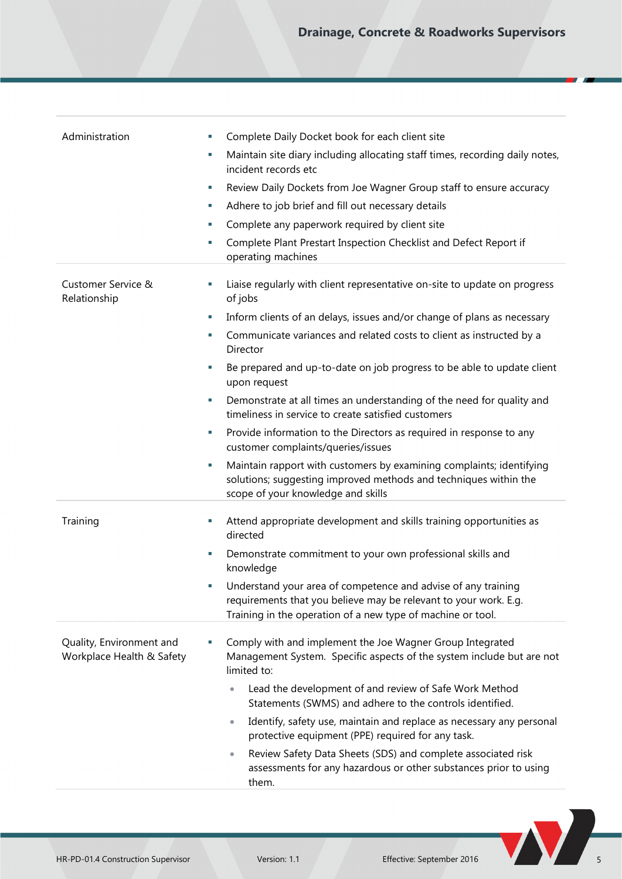| Administration                                        | Complete Daily Docket book for each client site<br>L.                                                                                                                                            |
|-------------------------------------------------------|--------------------------------------------------------------------------------------------------------------------------------------------------------------------------------------------------|
|                                                       | Maintain site diary including allocating staff times, recording daily notes,<br>L.<br>incident records etc                                                                                       |
|                                                       | Review Daily Dockets from Joe Wagner Group staff to ensure accuracy<br>u,                                                                                                                        |
|                                                       | Adhere to job brief and fill out necessary details<br>u,                                                                                                                                         |
|                                                       | Complete any paperwork required by client site<br>×,                                                                                                                                             |
|                                                       | Complete Plant Prestart Inspection Checklist and Defect Report if<br>L.<br>operating machines                                                                                                    |
| Customer Service &<br>Relationship                    | Liaise regularly with client representative on-site to update on progress<br>u,<br>of jobs                                                                                                       |
|                                                       | Inform clients of an delays, issues and/or change of plans as necessary<br>×                                                                                                                     |
|                                                       | Communicate variances and related costs to client as instructed by a<br>×,<br>Director                                                                                                           |
|                                                       | Be prepared and up-to-date on job progress to be able to update client<br>×<br>upon request                                                                                                      |
|                                                       | Demonstrate at all times an understanding of the need for quality and<br>L.<br>timeliness in service to create satisfied customers                                                               |
|                                                       | Provide information to the Directors as required in response to any<br>u,<br>customer complaints/queries/issues                                                                                  |
|                                                       | Maintain rapport with customers by examining complaints; identifying<br>L.<br>solutions; suggesting improved methods and techniques within the<br>scope of your knowledge and skills             |
| Training                                              | Attend appropriate development and skills training opportunities as<br>u,<br>directed                                                                                                            |
|                                                       | Demonstrate commitment to your own professional skills and<br>×,<br>knowledge                                                                                                                    |
|                                                       | Understand your area of competence and advise of any training<br>requirements that you believe may be relevant to your work. E.g.<br>Training in the operation of a new type of machine or tool. |
| Quality, Environment and<br>Workplace Health & Safety | Comply with and implement the Joe Wagner Group Integrated<br>L.<br>Management System. Specific aspects of the system include but are not<br>limited to:                                          |
|                                                       | Lead the development of and review of Safe Work Method<br>Statements (SWMS) and adhere to the controls identified.                                                                               |
|                                                       | Identify, safety use, maintain and replace as necessary any personal<br>$\bullet$<br>protective equipment (PPE) required for any task.                                                           |
|                                                       | Review Safety Data Sheets (SDS) and complete associated risk<br>$\bullet$<br>assessments for any hazardous or other substances prior to using<br>them.                                           |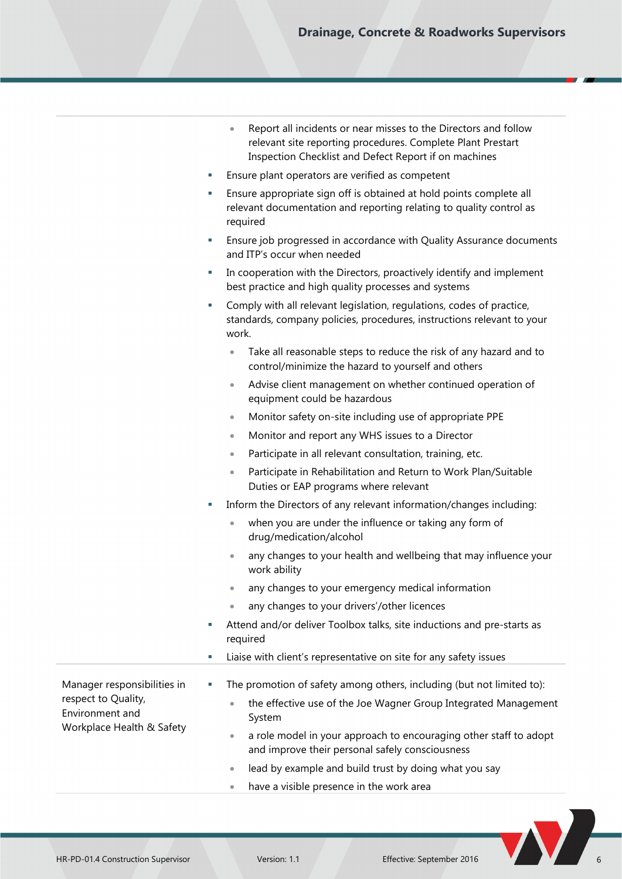| Report all incidents or near misses to the Directors and follow |
|-----------------------------------------------------------------|
| relevant site reporting procedures. Complete Plant Prestart     |
| Inspection Checklist and Defect Report if on machines           |

- Ensure plant operators are verified as competent
- Ensure appropriate sign off is obtained at hold points complete all relevant documentation and reporting relating to quality control as required
- Ensure job progressed in accordance with Quality Assurance documents and ITP's occur when needed
- In cooperation with the Directors, proactively identify and implement best practice and high quality processes and systems
- Comply with all relevant legislation, regulations, codes of practice, standards, company policies, procedures, instructions relevant to your work.
	- Take all reasonable steps to reduce the risk of any hazard and to control/minimize the hazard to yourself and others
	- Advise client management on whether continued operation of equipment could be hazardous
	- Monitor safety on-site including use of appropriate PPE
	- Monitor and report any WHS issues to a Director
	- Participate in all relevant consultation, training, etc.
	- Participate in Rehabilitation and Return to Work Plan/Suitable Duties or EAP programs where relevant
- Inform the Directors of any relevant information/changes including:
	- when you are under the influence or taking any form of drug/medication/alcohol
	- any changes to your health and wellbeing that may influence your work ability
	- any changes to your emergency medical information
	- any changes to your drivers'/other licences
- Attend and/or deliver Toolbox talks, site inductions and pre-starts as required
- Liaise with client's representative on site for any safety issues
- Manager responsibilities in respect to Quality, Environment and Workplace Health & Safety The promotion of safety among others, including (but not limited to): • the effective use of the Joe Wagner Group Integrated Management System a role model in your approach to encouraging other staff to adopt and improve their personal safely consciousness lead by example and build trust by doing what you say
	- have a visible presence in the work area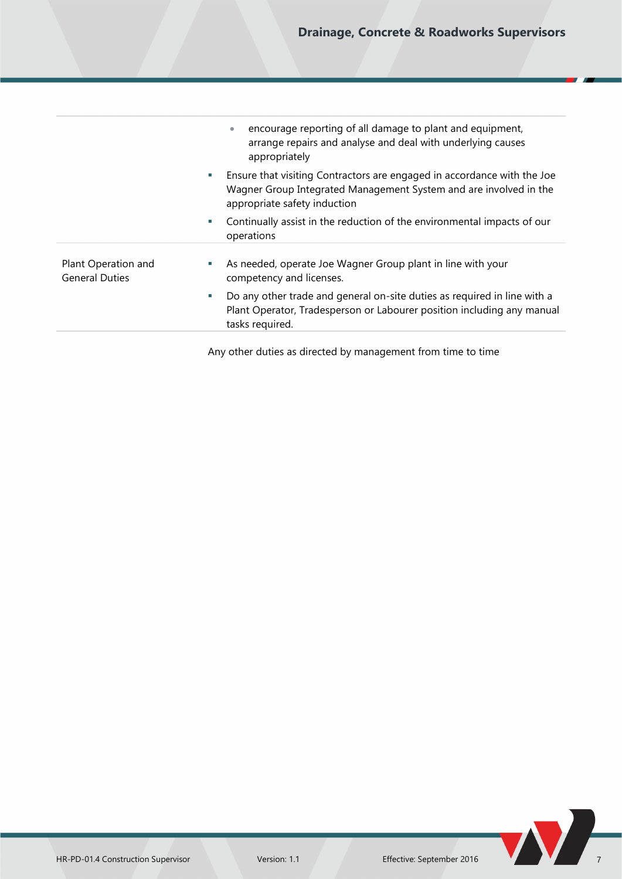|                                              | encourage reporting of all damage to plant and equipment,<br>arrange repairs and analyse and deal with underlying causes<br>appropriately                                               |
|----------------------------------------------|-----------------------------------------------------------------------------------------------------------------------------------------------------------------------------------------|
|                                              | Ensure that visiting Contractors are engaged in accordance with the Joe<br>and the<br>Wagner Group Integrated Management System and are involved in the<br>appropriate safety induction |
|                                              | Continually assist in the reduction of the environmental impacts of our<br>operations                                                                                                   |
| Plant Operation and<br><b>General Duties</b> | As needed, operate Joe Wagner Group plant in line with your<br>competency and licenses.                                                                                                 |
|                                              | Do any other trade and general on-site duties as required in line with a<br>a.<br>Plant Operator, Tradesperson or Labourer position including any manual<br>tasks required.             |
|                                              |                                                                                                                                                                                         |

Any other duties as directed by management from time to time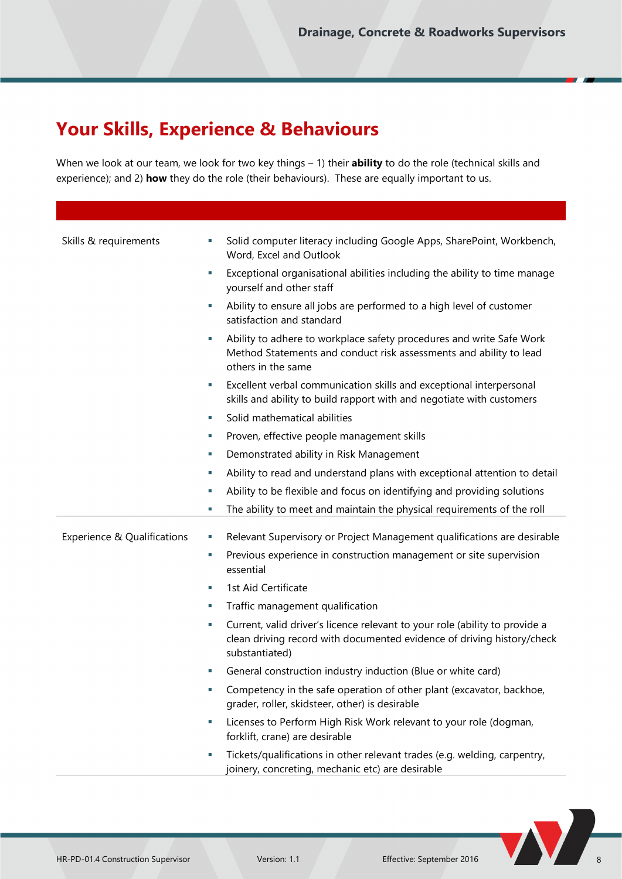## **Your Skills, Experience & Behaviours**

When we look at our team, we look for two key things – 1) their **ability** to do the role (technical skills and experience); and 2) **how** they do the role (their behaviours). These are equally important to us.

| Skills & requirements       | ш  | Solid computer literacy including Google Apps, SharePoint, Workbench,<br>Word, Excel and Outlook                                                                        |
|-----------------------------|----|-------------------------------------------------------------------------------------------------------------------------------------------------------------------------|
|                             | ×. | Exceptional organisational abilities including the ability to time manage<br>yourself and other staff                                                                   |
|                             |    | Ability to ensure all jobs are performed to a high level of customer<br>satisfaction and standard                                                                       |
|                             |    | Ability to adhere to workplace safety procedures and write Safe Work<br>Method Statements and conduct risk assessments and ability to lead<br>others in the same        |
|                             | ×  | Excellent verbal communication skills and exceptional interpersonal<br>skills and ability to build rapport with and negotiate with customers                            |
|                             | u. | Solid mathematical abilities                                                                                                                                            |
|                             | u, | Proven, effective people management skills                                                                                                                              |
|                             | a. | Demonstrated ability in Risk Management                                                                                                                                 |
|                             | u, | Ability to read and understand plans with exceptional attention to detail                                                                                               |
|                             | u, | Ability to be flexible and focus on identifying and providing solutions                                                                                                 |
|                             |    | The ability to meet and maintain the physical requirements of the roll                                                                                                  |
|                             |    |                                                                                                                                                                         |
| Experience & Qualifications |    | Relevant Supervisory or Project Management qualifications are desirable                                                                                                 |
|                             | ×  | Previous experience in construction management or site supervision<br>essential                                                                                         |
|                             | ш  | 1st Aid Certificate                                                                                                                                                     |
|                             | ×. | Traffic management qualification                                                                                                                                        |
|                             | ×. | Current, valid driver's licence relevant to your role (ability to provide a<br>clean driving record with documented evidence of driving history/check<br>substantiated) |
|                             | ×  | General construction industry induction (Blue or white card)                                                                                                            |
|                             |    | Competency in the safe operation of other plant (excavator, backhoe,<br>grader, roller, skidsteer, other) is desirable                                                  |
|                             |    | Licenses to Perform High Risk Work relevant to your role (dogman,<br>forklift, crane) are desirable                                                                     |
|                             | ×  | Tickets/qualifications in other relevant trades (e.g. welding, carpentry,<br>joinery, concreting, mechanic etc) are desirable                                           |

**N**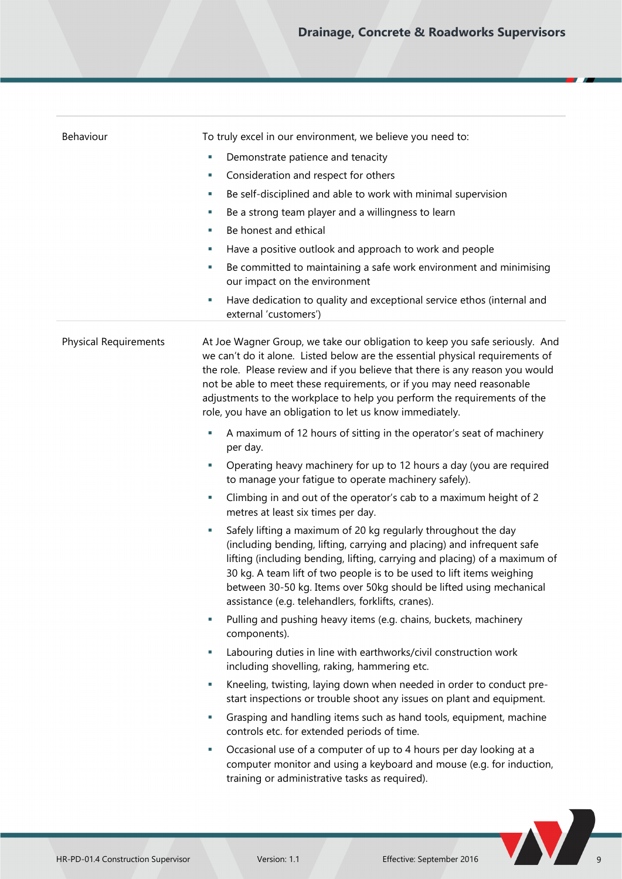| Behaviour                    | To truly excel in our environment, we believe you need to:                                                                                                                                                                                                                                                                                                                                                                                                     |
|------------------------------|----------------------------------------------------------------------------------------------------------------------------------------------------------------------------------------------------------------------------------------------------------------------------------------------------------------------------------------------------------------------------------------------------------------------------------------------------------------|
|                              | Demonstrate patience and tenacity<br>u,                                                                                                                                                                                                                                                                                                                                                                                                                        |
|                              | Consideration and respect for others<br>ш                                                                                                                                                                                                                                                                                                                                                                                                                      |
|                              | Be self-disciplined and able to work with minimal supervision<br>L.                                                                                                                                                                                                                                                                                                                                                                                            |
|                              | Be a strong team player and a willingness to learn<br>L.                                                                                                                                                                                                                                                                                                                                                                                                       |
|                              | Be honest and ethical<br>L.                                                                                                                                                                                                                                                                                                                                                                                                                                    |
|                              | Have a positive outlook and approach to work and people<br>×,                                                                                                                                                                                                                                                                                                                                                                                                  |
|                              | Be committed to maintaining a safe work environment and minimising<br>×,<br>our impact on the environment                                                                                                                                                                                                                                                                                                                                                      |
|                              | Have dedication to quality and exceptional service ethos (internal and<br>ш<br>external 'customers')                                                                                                                                                                                                                                                                                                                                                           |
| <b>Physical Requirements</b> | At Joe Wagner Group, we take our obligation to keep you safe seriously. And<br>we can't do it alone. Listed below are the essential physical requirements of<br>the role. Please review and if you believe that there is any reason you would<br>not be able to meet these requirements, or if you may need reasonable<br>adjustments to the workplace to help you perform the requirements of the<br>role, you have an obligation to let us know immediately. |
|                              | A maximum of 12 hours of sitting in the operator's seat of machinery<br>L.<br>per day.                                                                                                                                                                                                                                                                                                                                                                         |
|                              | Operating heavy machinery for up to 12 hours a day (you are required<br>ш<br>to manage your fatigue to operate machinery safely).                                                                                                                                                                                                                                                                                                                              |
|                              | Climbing in and out of the operator's cab to a maximum height of 2<br>×,<br>metres at least six times per day.                                                                                                                                                                                                                                                                                                                                                 |
|                              | Safely lifting a maximum of 20 kg regularly throughout the day<br>×,<br>(including bending, lifting, carrying and placing) and infrequent safe<br>lifting (including bending, lifting, carrying and placing) of a maximum of<br>30 kg. A team lift of two people is to be used to lift items weighing<br>between 30-50 kg. Items over 50kg should be lifted using mechanical<br>assistance (e.g. telehandlers, forklifts, cranes).                             |
|                              | Pulling and pushing heavy items (e.g. chains, buckets, machinery<br>L.<br>components).                                                                                                                                                                                                                                                                                                                                                                         |
|                              | Labouring duties in line with earthworks/civil construction work<br>u,<br>including shovelling, raking, hammering etc.                                                                                                                                                                                                                                                                                                                                         |
|                              | Kneeling, twisting, laying down when needed in order to conduct pre-<br>L.<br>start inspections or trouble shoot any issues on plant and equipment.                                                                                                                                                                                                                                                                                                            |
|                              | Grasping and handling items such as hand tools, equipment, machine<br>L.<br>controls etc. for extended periods of time.                                                                                                                                                                                                                                                                                                                                        |
|                              | Occasional use of a computer of up to 4 hours per day looking at a<br>L.<br>computer monitor and using a keyboard and mouse (e.g. for induction,<br>training or administrative tasks as required).                                                                                                                                                                                                                                                             |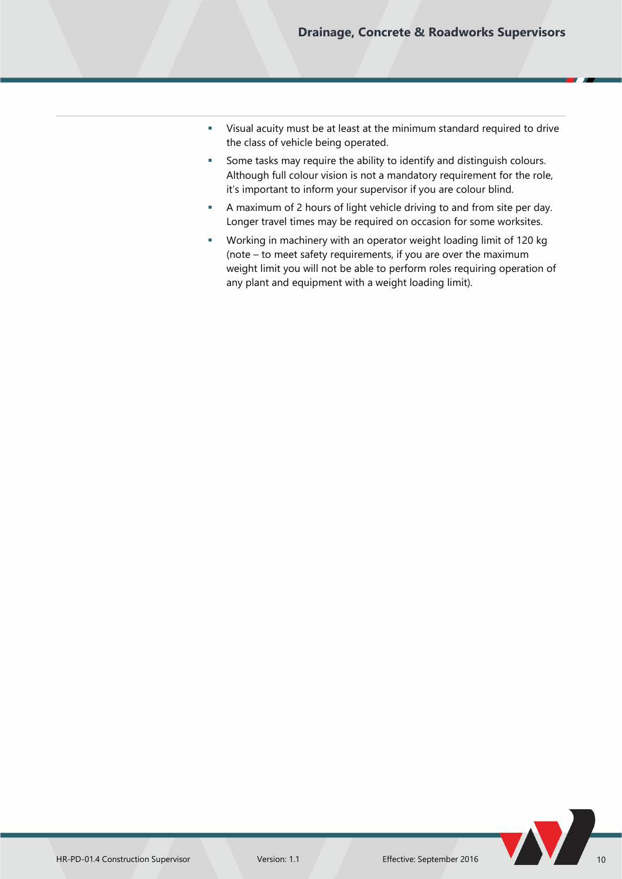- Visual acuity must be at least at the minimum standard required to drive the class of vehicle being operated.
- Some tasks may require the ability to identify and distinguish colours. Although full colour vision is not a mandatory requirement for the role, it's important to inform your supervisor if you are colour blind.
- A maximum of 2 hours of light vehicle driving to and from site per day. Longer travel times may be required on occasion for some worksites.
- Working in machinery with an operator weight loading limit of 120 kg (note – to meet safety requirements, if you are over the maximum weight limit you will not be able to perform roles requiring operation of any plant and equipment with a weight loading limit).